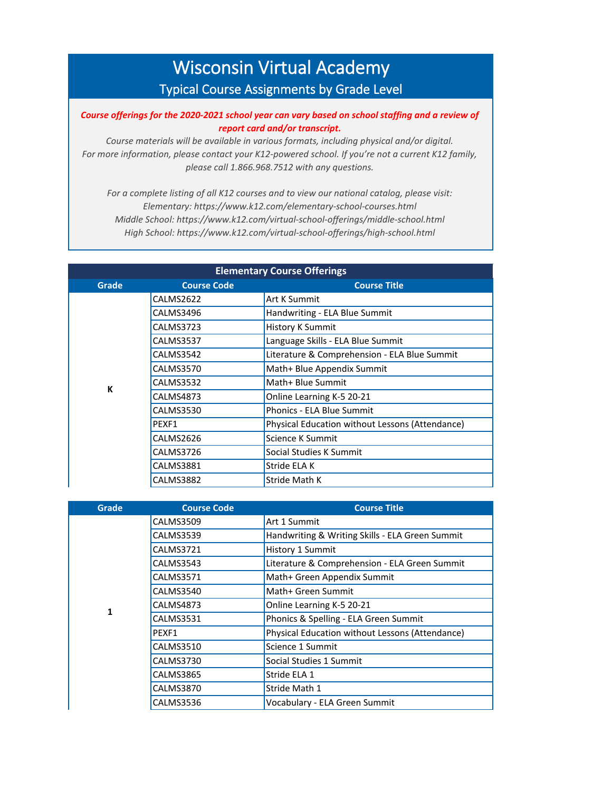## Wisconsin Virtual Academy Typical Course Assignments by Grade Level

## *Course offerings for the 2020-2021 school year can vary based on school staffing and a review of report card and/or transcript.*

*Course materials will be available in various formats, including physical and/or digital. For more information, please contact your K12-powered school. If you're not a current K12 family, please call 1.866.968.7512 with any questions.*

*For a complete listing of all K12 courses and to view our national catalog, please visit: Elementary: https://www.k12.com/elementary-school-courses.html Middle School: https://www.k12.com/virtual-school-offerings/middle-school.html High School: https://www.k12.com/virtual-school-offerings/high-school.html*

| <b>Elementary Course Offerings</b> |                    |                                                 |
|------------------------------------|--------------------|-------------------------------------------------|
| Grade                              | <b>Course Code</b> | <b>Course Title</b>                             |
|                                    | CALMS2622          | Art K Summit                                    |
|                                    | CALMS3496          | Handwriting - ELA Blue Summit                   |
|                                    | CALMS3723          | <b>History K Summit</b>                         |
|                                    | <b>CALMS3537</b>   | Language Skills - ELA Blue Summit               |
|                                    | CALMS3542          | Literature & Comprehension - ELA Blue Summit    |
|                                    | <b>CALMS3570</b>   | Math+ Blue Appendix Summit                      |
| К                                  | CALMS3532          | Math+ Blue Summit                               |
|                                    | CALMS4873          | Online Learning K-5 20-21                       |
|                                    | <b>CALMS3530</b>   | <b>Phonics - ELA Blue Summit</b>                |
|                                    | PEXF1              | Physical Education without Lessons (Attendance) |
|                                    | CALMS2626          | Science K Summit                                |
|                                    | CALMS3726          | Social Studies K Summit                         |
|                                    | <b>CALMS3881</b>   | Stride ELA K                                    |
|                                    | <b>CALMS3882</b>   | Stride Math K                                   |

| Grade | <b>Course Code</b> | <b>Course Title</b>                             |
|-------|--------------------|-------------------------------------------------|
|       | <b>CALMS3509</b>   | Art 1 Summit                                    |
|       | <b>CALMS3539</b>   | Handwriting & Writing Skills - ELA Green Summit |
|       | CALMS3721          | <b>History 1 Summit</b>                         |
|       | <b>CALMS3543</b>   | Literature & Comprehension - ELA Green Summit   |
|       | <b>CALMS3571</b>   | Math+ Green Appendix Summit                     |
|       | CALMS3540          | Math+ Green Summit                              |
| 1     | CALMS4873          | Online Learning K-5 20-21                       |
|       | <b>CALMS3531</b>   | Phonics & Spelling - ELA Green Summit           |
|       | PEXF1              | Physical Education without Lessons (Attendance) |
|       | <b>CALMS3510</b>   | Science 1 Summit                                |
|       | <b>CALMS3730</b>   | Social Studies 1 Summit                         |
|       | <b>CALMS3865</b>   | Stride ELA 1                                    |
|       | CALMS3870          | Stride Math 1                                   |
|       | CALMS3536          | Vocabulary - ELA Green Summit                   |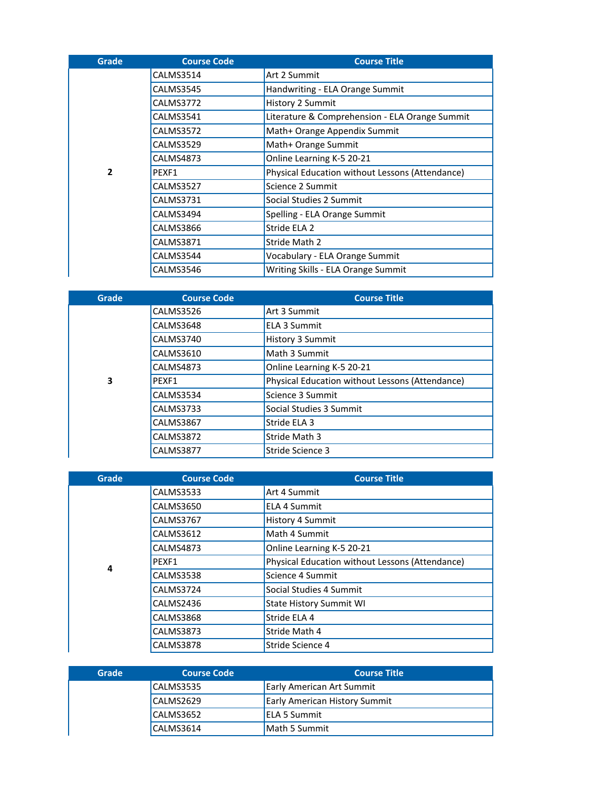| Grade          | <b>Course Code</b> | <b>Course Title</b>                             |
|----------------|--------------------|-------------------------------------------------|
|                | CALMS3514          | Art 2 Summit                                    |
|                | CALMS3545          | Handwriting - ELA Orange Summit                 |
|                | CALMS3772          | History 2 Summit                                |
|                | CALMS3541          | Literature & Comprehension - ELA Orange Summit  |
|                | CALMS3572          | Math+ Orange Appendix Summit                    |
|                | CALMS3529          | Math+ Orange Summit                             |
|                | CALMS4873          | Online Learning K-5 20-21                       |
| $\overline{2}$ | PEXF1              | Physical Education without Lessons (Attendance) |
|                | CALMS3527          | Science 2 Summit                                |
|                | CALMS3731          | Social Studies 2 Summit                         |
|                | CALMS3494          | Spelling - ELA Orange Summit                    |
|                | CALMS3866          | Stride ELA 2                                    |
|                | CALMS3871          | Stride Math 2                                   |
|                | CALMS3544          | Vocabulary - ELA Orange Summit                  |
|                | CALMS3546          | Writing Skills - ELA Orange Summit              |

| Grade | <b>Course Code</b> | <b>Course Title</b>                             |
|-------|--------------------|-------------------------------------------------|
|       | CALMS3526          | Art 3 Summit                                    |
|       | CALMS3648          | <b>ELA 3 Summit</b>                             |
|       | CALMS3740          | History 3 Summit                                |
|       | CALMS3610          | Math 3 Summit                                   |
|       | <b>CALMS4873</b>   | Online Learning K-5 20-21                       |
| 3     | PFXF1              | Physical Education without Lessons (Attendance) |
|       | CALMS3534          | Science 3 Summit                                |
|       | <b>CALMS3733</b>   | Social Studies 3 Summit                         |
|       | <b>CALMS3867</b>   | Stride ELA 3                                    |
|       | <b>CALMS3872</b>   | Stride Math 3                                   |
|       | <b>CALMS3877</b>   | Stride Science 3                                |

| Grade | <b>Course Code</b> | <b>Course Title</b>                             |
|-------|--------------------|-------------------------------------------------|
|       | <b>CALMS3533</b>   | Art 4 Summit                                    |
|       | CALMS3650          | <b>ELA 4 Summit</b>                             |
|       | CALMS3767          | <b>History 4 Summit</b>                         |
|       | <b>CALMS3612</b>   | Math 4 Summit                                   |
|       | CALMS4873          | Online Learning K-5 20-21                       |
| 4     | PEXF1              | Physical Education without Lessons (Attendance) |
|       | CALMS3538          | Science 4 Summit                                |
|       | CALMS3724          | Social Studies 4 Summit                         |
|       | CALMS2436          | <b>State History Summit WI</b>                  |
|       | CALMS3868          | Stride ELA 4                                    |
|       | CALMS3873          | Stride Math 4                                   |
|       | CALMS3878          | Stride Science 4                                |

| Grade | Course Code | <b>Course Title</b>                  |
|-------|-------------|--------------------------------------|
|       | CALMS3535   | <b>Early American Art Summit</b>     |
|       | CALMS2629   | <b>Early American History Summit</b> |
|       | CALMS3652   | <b>ELA 5 Summit</b>                  |
|       | CALMS3614   | Math 5 Summit                        |